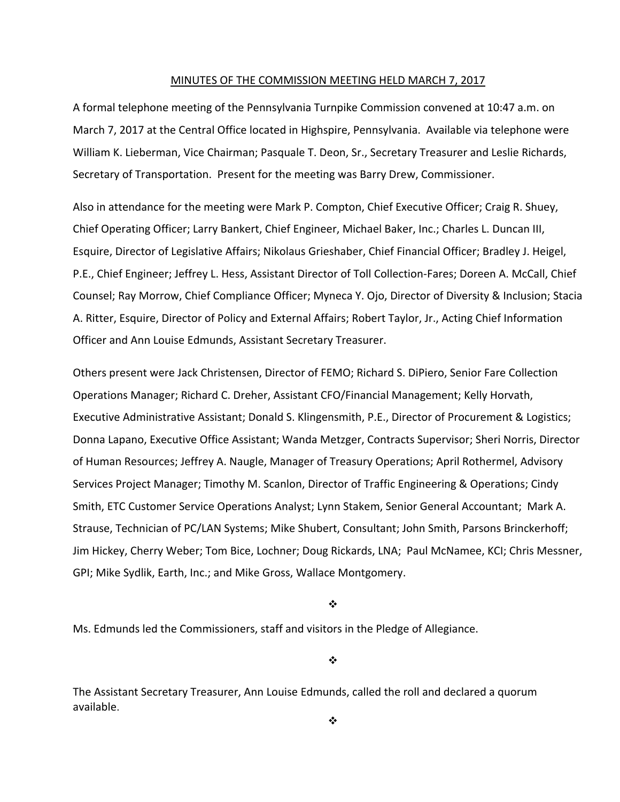#### MINUTES OF THE COMMISSION MEETING HELD MARCH 7, 2017

A formal telephone meeting of the Pennsylvania Turnpike Commission convened at 10:47 a.m. on March 7, 2017 at the Central Office located in Highspire, Pennsylvania. Available via telephone were William K. Lieberman, Vice Chairman; Pasquale T. Deon, Sr., Secretary Treasurer and Leslie Richards, Secretary of Transportation. Present for the meeting was Barry Drew, Commissioner.

Also in attendance for the meeting were Mark P. Compton, Chief Executive Officer; Craig R. Shuey, Chief Operating Officer; Larry Bankert, Chief Engineer, Michael Baker, Inc.; Charles L. Duncan III, Esquire, Director of Legislative Affairs; Nikolaus Grieshaber, Chief Financial Officer; Bradley J. Heigel, P.E., Chief Engineer; Jeffrey L. Hess, Assistant Director of Toll Collection‐Fares; Doreen A. McCall, Chief Counsel; Ray Morrow, Chief Compliance Officer; Myneca Y. Ojo, Director of Diversity & Inclusion; Stacia A. Ritter, Esquire, Director of Policy and External Affairs; Robert Taylor, Jr., Acting Chief Information Officer and Ann Louise Edmunds, Assistant Secretary Treasurer.

Others present were Jack Christensen, Director of FEMO; Richard S. DiPiero, Senior Fare Collection Operations Manager; Richard C. Dreher, Assistant CFO/Financial Management; Kelly Horvath, Executive Administrative Assistant; Donald S. Klingensmith, P.E., Director of Procurement & Logistics; Donna Lapano, Executive Office Assistant; Wanda Metzger, Contracts Supervisor; Sheri Norris, Director of Human Resources; Jeffrey A. Naugle, Manager of Treasury Operations; April Rothermel, Advisory Services Project Manager; Timothy M. Scanlon, Director of Traffic Engineering & Operations; Cindy Smith, ETC Customer Service Operations Analyst; Lynn Stakem, Senior General Accountant; Mark A. Strause, Technician of PC/LAN Systems; Mike Shubert, Consultant; John Smith, Parsons Brinckerhoff; Jim Hickey, Cherry Weber; Tom Bice, Lochner; Doug Rickards, LNA; Paul McNamee, KCI; Chris Messner, GPI; Mike Sydlik, Earth, Inc.; and Mike Gross, Wallace Montgomery.

 $\bullet^{\bullet}_{\bullet}$ 

Ms. Edmunds led the Commissioners, staff and visitors in the Pledge of Allegiance.

❖

The Assistant Secretary Treasurer, Ann Louise Edmunds, called the roll and declared a quorum available.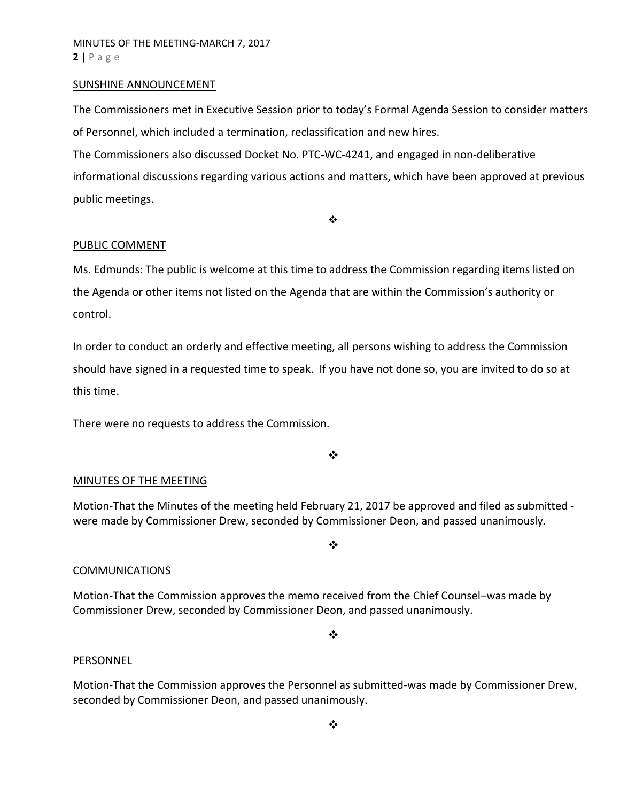#### SUNSHINE ANNOUNCEMENT

The Commissioners met in Executive Session prior to today's Formal Agenda Session to consider matters of Personnel, which included a termination, reclassification and new hires.

The Commissioners also discussed Docket No. PTC‐WC‐4241, and engaged in non‐deliberative

informational discussions regarding various actions and matters, which have been approved at previous public meetings.

 $\bullet^{\bullet}_{\bullet} \bullet$ 

### PUBLIC COMMENT

Ms. Edmunds: The public is welcome at this time to address the Commission regarding items listed on the Agenda or other items not listed on the Agenda that are within the Commission's authority or control.

In order to conduct an orderly and effective meeting, all persons wishing to address the Commission should have signed in a requested time to speak. If you have not done so, you are invited to do so at this time.

There were no requests to address the Commission.

 $\frac{1}{2}$ 

### MINUTES OF THE MEETING

Motion-That the Minutes of the meeting held February 21, 2017 be approved and filed as submitted were made by Commissioner Drew, seconded by Commissioner Deon, and passed unanimously.

❖

### COMMUNICATIONS

Motion‐That the Commission approves the memo received from the Chief Counsel–was made by Commissioner Drew, seconded by Commissioner Deon, and passed unanimously.

❖

#### PERSONNEL

Motion‐That the Commission approves the Personnel as submitted‐was made by Commissioner Drew, seconded by Commissioner Deon, and passed unanimously.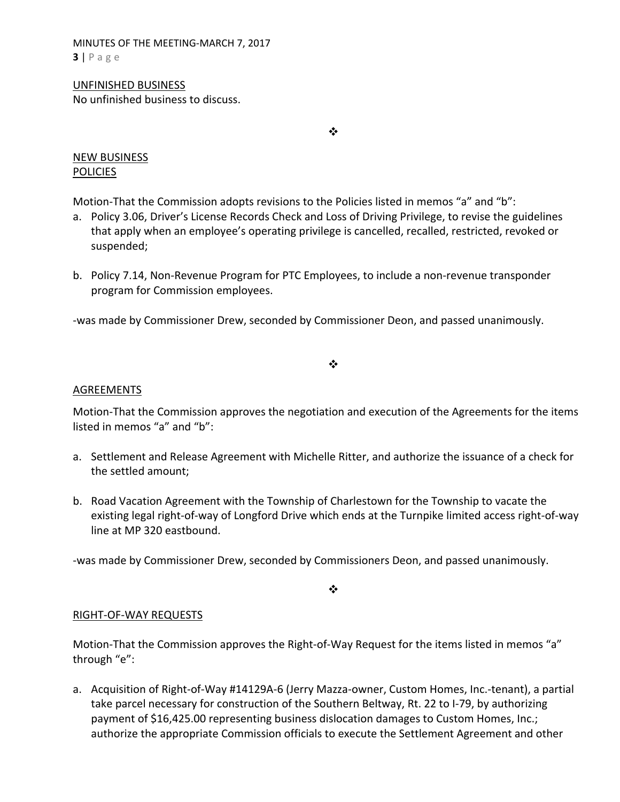MINUTES OF THE MEETING‐MARCH 7, 2017 **3** | Page

# UNFINISHED BUSINESS

No unfinished business to discuss.

❖

# NEW BUSINESS **POLICIES**

Motion-That the Commission adopts revisions to the Policies listed in memos "a" and "b":

- a. Policy 3.06, Driver's License Records Check and Loss of Driving Privilege, to revise the guidelines that apply when an employee's operating privilege is cancelled, recalled, restricted, revoked or suspended;
- b. Policy 7.14, Non‐Revenue Program for PTC Employees, to include a non‐revenue transponder program for Commission employees.

‐was made by Commissioner Drew, seconded by Commissioner Deon, and passed unanimously.

# $\frac{1}{2}$

# AGREEMENTS

Motion‐That the Commission approves the negotiation and execution of the Agreements for the items listed in memos "a" and "b":

- a. Settlement and Release Agreement with Michelle Ritter, and authorize the issuance of a check for the settled amount;
- b. Road Vacation Agreement with the Township of Charlestown for the Township to vacate the existing legal right‐of‐way of Longford Drive which ends at the Turnpike limited access right‐of‐way line at MP 320 eastbound.

‐was made by Commissioner Drew, seconded by Commissioners Deon, and passed unanimously.

 $\bullet^{\bullet}_{\bullet} \bullet$ 

# RIGHT‐OF‐WAY REQUESTS

Motion-That the Commission approves the Right-of-Way Request for the items listed in memos "a" through "e":

a. Acquisition of Right‐of‐Way #14129A‐6 (Jerry Mazza‐owner, Custom Homes, Inc.‐tenant), a partial take parcel necessary for construction of the Southern Beltway, Rt. 22 to I‐79, by authorizing payment of \$16,425.00 representing business dislocation damages to Custom Homes, Inc.; authorize the appropriate Commission officials to execute the Settlement Agreement and other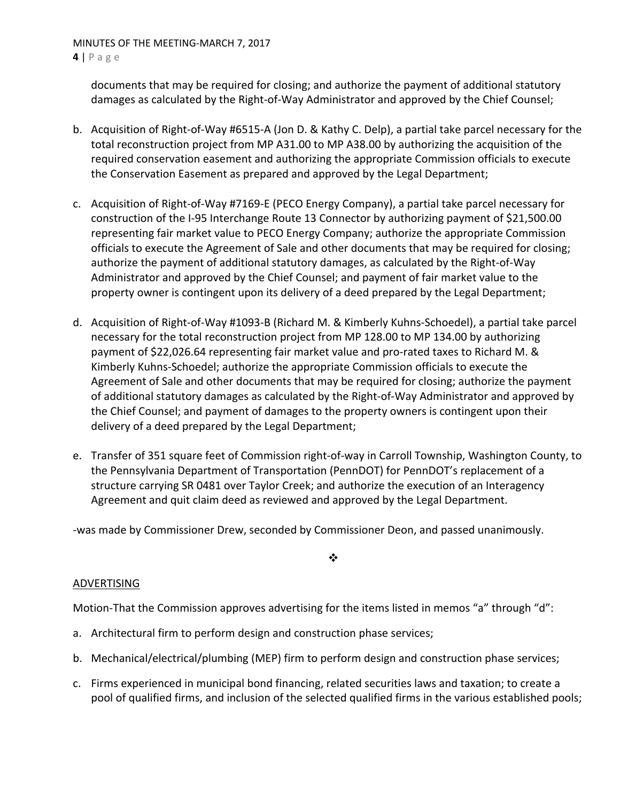MINUTES OF THE MEETING‐MARCH 7, 2017 **4** | Page

documents that may be required for closing; and authorize the payment of additional statutory damages as calculated by the Right‐of‐Way Administrator and approved by the Chief Counsel;

- b. Acquisition of Right‐of‐Way #6515‐A (Jon D. & Kathy C. Delp), a partial take parcel necessary for the total reconstruction project from MP A31.00 to MP A38.00 by authorizing the acquisition of the required conservation easement and authorizing the appropriate Commission officials to execute the Conservation Easement as prepared and approved by the Legal Department;
- c. Acquisition of Right‐of‐Way #7169‐E (PECO Energy Company), a partial take parcel necessary for construction of the I‐95 Interchange Route 13 Connector by authorizing payment of \$21,500.00 representing fair market value to PECO Energy Company; authorize the appropriate Commission officials to execute the Agreement of Sale and other documents that may be required for closing; authorize the payment of additional statutory damages, as calculated by the Right‐of‐Way Administrator and approved by the Chief Counsel; and payment of fair market value to the property owner is contingent upon its delivery of a deed prepared by the Legal Department;
- d. Acquisition of Right‐of‐Way #1093‐B (Richard M. & Kimberly Kuhns‐Schoedel), a partial take parcel necessary for the total reconstruction project from MP 128.00 to MP 134.00 by authorizing payment of \$22,026.64 representing fair market value and pro‐rated taxes to Richard M. & Kimberly Kuhns‐Schoedel; authorize the appropriate Commission officials to execute the Agreement of Sale and other documents that may be required for closing; authorize the payment of additional statutory damages as calculated by the Right‐of‐Way Administrator and approved by the Chief Counsel; and payment of damages to the property owners is contingent upon their delivery of a deed prepared by the Legal Department;
- e. Transfer of 351 square feet of Commission right‐of‐way in Carroll Township, Washington County, to the Pennsylvania Department of Transportation (PennDOT) for PennDOT's replacement of a structure carrying SR 0481 over Taylor Creek; and authorize the execution of an Interagency Agreement and quit claim deed as reviewed and approved by the Legal Department.

‐was made by Commissioner Drew, seconded by Commissioner Deon, and passed unanimously.

# ❖

# ADVERTISING

Motion-That the Commission approves advertising for the items listed in memos "a" through "d":

- a. Architectural firm to perform design and construction phase services;
- b. Mechanical/electrical/plumbing (MEP) firm to perform design and construction phase services;
- c. Firms experienced in municipal bond financing, related securities laws and taxation; to create a pool of qualified firms, and inclusion of the selected qualified firms in the various established pools;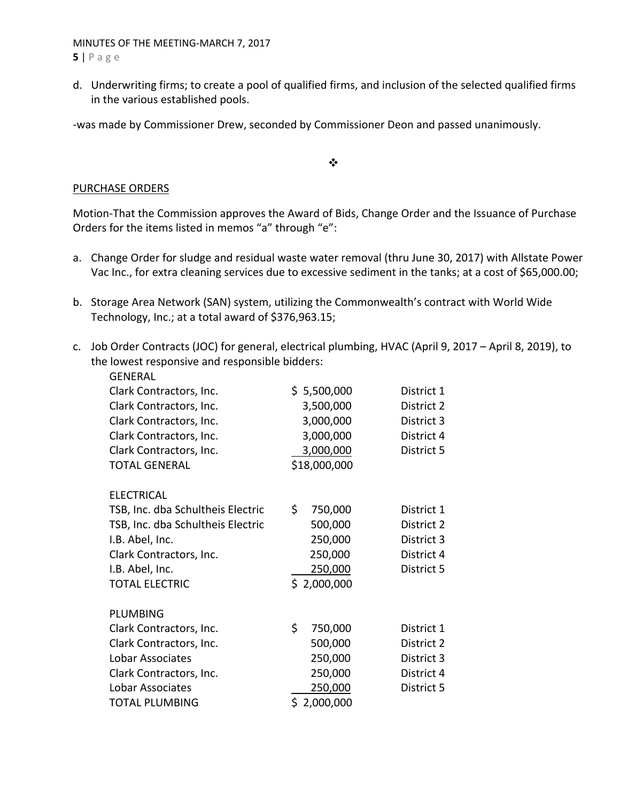MINUTES OF THE MEETING‐MARCH 7, 2017 **5** | Page

d. Underwriting firms; to create a pool of qualified firms, and inclusion of the selected qualified firms in the various established pools.

‐was made by Commissioner Drew, seconded by Commissioner Deon and passed unanimously.

 $\bullet^{\bullet}_{\bullet} \bullet$ 

### PURCHASE ORDERS

Motion‐That the Commission approves the Award of Bids, Change Order and the Issuance of Purchase Orders for the items listed in memos "a" through "e":

- a. Change Order for sludge and residual waste water removal (thru June 30, 2017) with Allstate Power Vac Inc., for extra cleaning services due to excessive sediment in the tanks; at a cost of \$65,000.00;
- b. Storage Area Network (SAN) system, utilizing the Commonwealth's contract with World Wide Technology, Inc.; at a total award of \$376,963.15;
- c. Job Order Contracts (JOC) for general, electrical plumbing, HVAC (April 9, 2017 April 8, 2019), to the lowest responsive and responsible bidders:

| <b>GENERAL</b>                    |                |            |  |
|-----------------------------------|----------------|------------|--|
| Clark Contractors, Inc.           | \$5,500,000    | District 1 |  |
| Clark Contractors, Inc.           | 3,500,000      | District 2 |  |
| Clark Contractors, Inc.           | 3,000,000      | District 3 |  |
| Clark Contractors, Inc.           | 3,000,000      | District 4 |  |
| Clark Contractors, Inc.           | 3,000,000      | District 5 |  |
| <b>TOTAL GENERAL</b>              | \$18,000,000   |            |  |
| <b>ELECTRICAL</b>                 |                |            |  |
| TSB, Inc. dba Schultheis Electric | \$.<br>750,000 | District 1 |  |
| TSB, Inc. dba Schultheis Electric | 500,000        | District 2 |  |
| I.B. Abel, Inc.                   | 250,000        | District 3 |  |
| Clark Contractors, Inc.           | 250,000        | District 4 |  |
| I.B. Abel, Inc.                   | 250,000        | District 5 |  |
| <b>TOTAL ELECTRIC</b>             | \$2,000,000    |            |  |
| <b>PLUMBING</b>                   |                |            |  |
| Clark Contractors, Inc.           | \$<br>750,000  | District 1 |  |
| Clark Contractors, Inc.           | 500,000        | District 2 |  |
| Lobar Associates                  | 250,000        | District 3 |  |
| Clark Contractors, Inc.           | 250,000        | District 4 |  |
| Lobar Associates                  | 250,000        | District 5 |  |
| <b>TOTAL PLUMBING</b>             | \$2,000,000    |            |  |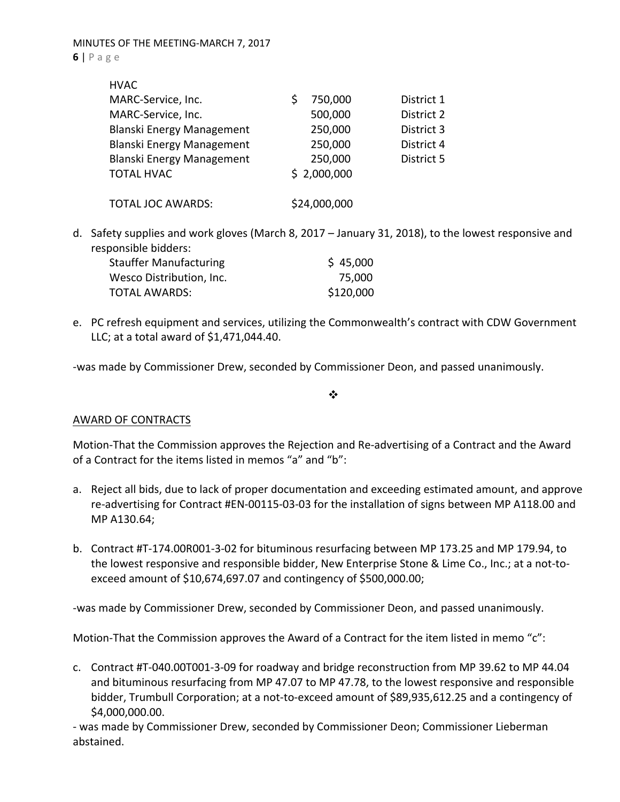| <b>HVAC</b>                      |              |            |
|----------------------------------|--------------|------------|
| MARC-Service, Inc.               | 750,000      | District 1 |
| MARC-Service, Inc.               | 500,000      | District 2 |
| <b>Blanski Energy Management</b> | 250,000      | District 3 |
| <b>Blanski Energy Management</b> | 250,000      | District 4 |
| Blanski Energy Management        | 250,000      | District 5 |
| <b>TOTAL HVAC</b>                | \$2,000,000  |            |
|                                  |              |            |
| <b>TOTAL JOC AWARDS:</b>         | \$24,000,000 |            |

d. Safety supplies and work gloves (March 8, 2017 – January 31, 2018), to the lowest responsive and responsible bidders:

| <b>Stauffer Manufacturing</b> | \$45,000  |
|-------------------------------|-----------|
| Wesco Distribution, Inc.      | 75,000    |
| TOTAL AWARDS:                 | \$120,000 |

e. PC refresh equipment and services, utilizing the Commonwealth's contract with CDW Government LLC; at a total award of \$1,471,044.40.

‐was made by Commissioner Drew, seconded by Commissioner Deon, and passed unanimously.

 $\frac{1}{2}$ 

# AWARD OF CONTRACTS

Motion‐That the Commission approves the Rejection and Re‐advertising of a Contract and the Award of a Contract for the items listed in memos "a" and "b":

- a. Reject all bids, due to lack of proper documentation and exceeding estimated amount, and approve re‐advertising for Contract #EN‐00115‐03‐03 for the installation of signs between MP A118.00 and MP A130.64;
- b. Contract #T‐174.00R001‐3‐02 for bituminous resurfacing between MP 173.25 and MP 179.94, to the lowest responsive and responsible bidder, New Enterprise Stone & Lime Co., Inc.; at a not‐to‐ exceed amount of \$10,674,697.07 and contingency of \$500,000.00;

‐was made by Commissioner Drew, seconded by Commissioner Deon, and passed unanimously.

Motion-That the Commission approves the Award of a Contract for the item listed in memo "c":

c. Contract #T‐040.00T001‐3‐09 for roadway and bridge reconstruction from MP 39.62 to MP 44.04 and bituminous resurfacing from MP 47.07 to MP 47.78, to the lowest responsive and responsible bidder, Trumbull Corporation; at a not‐to‐exceed amount of \$89,935,612.25 and a contingency of \$4,000,000.00.

‐ was made by Commissioner Drew, seconded by Commissioner Deon; Commissioner Lieberman abstained.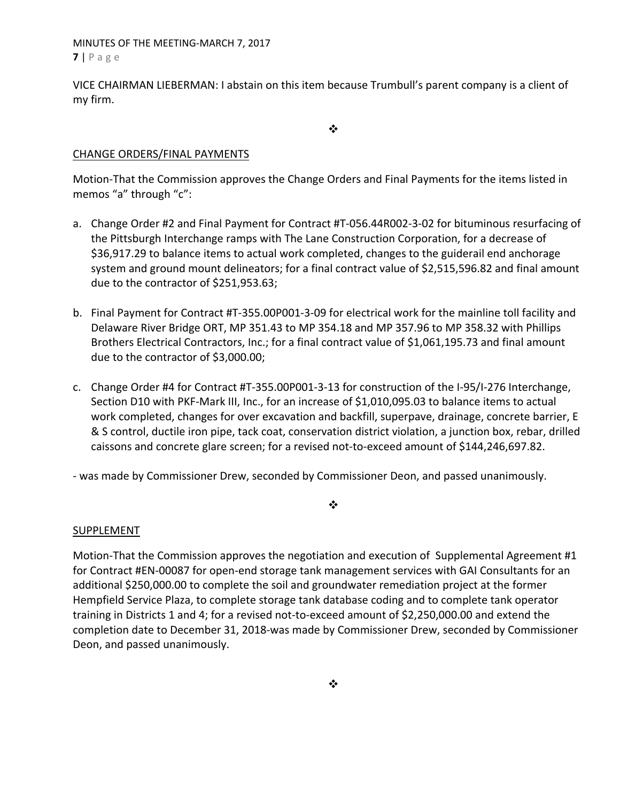MINUTES OF THE MEETING‐MARCH 7, 2017 **7** | Page

VICE CHAIRMAN LIEBERMAN: I abstain on this item because Trumbull's parent company is a client of my firm.

 $\frac{1}{2}$ 

# CHANGE ORDERS/FINAL PAYMENTS

Motion‐That the Commission approves the Change Orders and Final Payments for the items listed in memos "a" through "c":

- a. Change Order #2 and Final Payment for Contract #T‐056.44R002‐3‐02 for bituminous resurfacing of the Pittsburgh Interchange ramps with The Lane Construction Corporation, for a decrease of \$36,917.29 to balance items to actual work completed, changes to the guiderail end anchorage system and ground mount delineators; for a final contract value of \$2,515,596.82 and final amount due to the contractor of \$251,953.63;
- b. Final Payment for Contract #T‐355.00P001‐3‐09 for electrical work for the mainline toll facility and Delaware River Bridge ORT, MP 351.43 to MP 354.18 and MP 357.96 to MP 358.32 with Phillips Brothers Electrical Contractors, Inc.; for a final contract value of \$1,061,195.73 and final amount due to the contractor of \$3,000.00;
- c. Change Order #4 for Contract #T‐355.00P001‐3‐13 for construction of the I‐95/I‐276 Interchange, Section D10 with PKF-Mark III, Inc., for an increase of \$1,010,095.03 to balance items to actual work completed, changes for over excavation and backfill, superpave, drainage, concrete barrier, E & S control, ductile iron pipe, tack coat, conservation district violation, a junction box, rebar, drilled caissons and concrete glare screen; for a revised not‐to‐exceed amount of \$144,246,697.82.

‐ was made by Commissioner Drew, seconded by Commissioner Deon, and passed unanimously.

### ❖

### SUPPLEMENT

Motion-That the Commission approves the negotiation and execution of Supplemental Agreement #1 for Contract #EN-00087 for open-end storage tank management services with GAI Consultants for an additional \$250,000.00 to complete the soil and groundwater remediation project at the former Hempfield Service Plaza, to complete storage tank database coding and to complete tank operator training in Districts 1 and 4; for a revised not‐to‐exceed amount of \$2,250,000.00 and extend the completion date to December 31, 2018‐was made by Commissioner Drew, seconded by Commissioner Deon, and passed unanimously.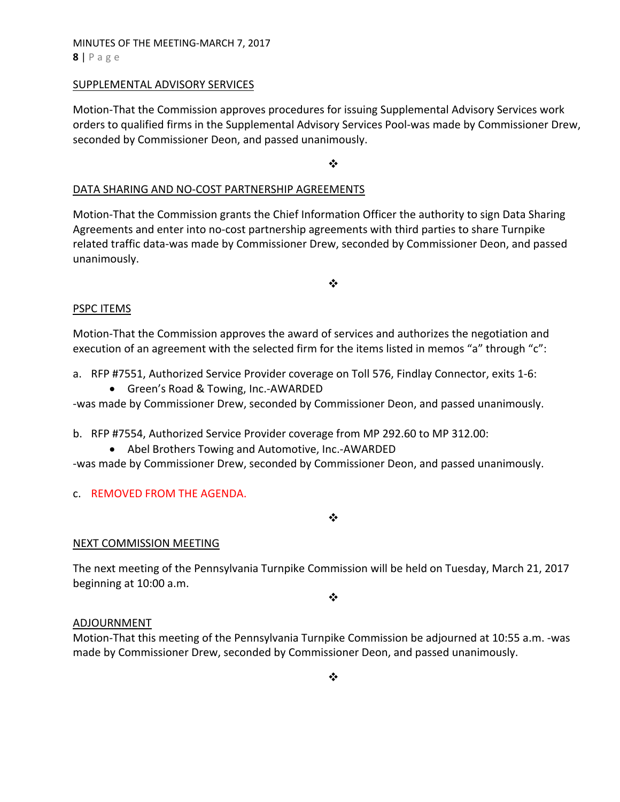# MINUTES OF THE MEETING‐MARCH 7, 2017 **8** | Page

### SUPPLEMENTAL ADVISORY SERVICES

Motion‐That the Commission approves procedures for issuing Supplemental Advisory Services work orders to qualified firms in the Supplemental Advisory Services Pool‐was made by Commissioner Drew, seconded by Commissioner Deon, and passed unanimously.

❖

# DATA SHARING AND NO‐COST PARTNERSHIP AGREEMENTS

Motion‐That the Commission grants the Chief Information Officer the authority to sign Data Sharing Agreements and enter into no‐cost partnership agreements with third parties to share Turnpike related traffic data‐was made by Commissioner Drew, seconded by Commissioner Deon, and passed unanimously.

### $\frac{1}{2}$

### PSPC ITEMS

Motion‐That the Commission approves the award of services and authorizes the negotiation and execution of an agreement with the selected firm for the items listed in memos "a" through "c":

- a. RFP #7551, Authorized Service Provider coverage on Toll 576, Findlay Connector, exits 1‐6:
	- Green's Road & Towing, Inc.-AWARDED

‐was made by Commissioner Drew, seconded by Commissioner Deon, and passed unanimously.

b. RFP #7554, Authorized Service Provider coverage from MP 292.60 to MP 312.00:

● Abel Brothers Towing and Automotive, Inc.-AWARDED

‐was made by Commissioner Drew, seconded by Commissioner Deon, and passed unanimously.

# c. REMOVED FROM THE AGENDA.

❖

# NEXT COMMISSION MEETING

The next meeting of the Pennsylvania Turnpike Commission will be held on Tuesday, March 21, 2017 beginning at 10:00 a.m.

❖

# ADJOURNMENT

Motion‐That this meeting of the Pennsylvania Turnpike Commission be adjourned at 10:55 a.m. ‐was made by Commissioner Drew, seconded by Commissioner Deon, and passed unanimously.